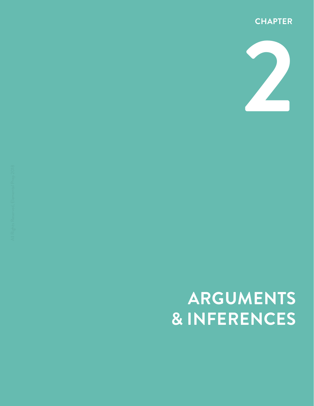



# **ARGUMENTS & INFERENCES**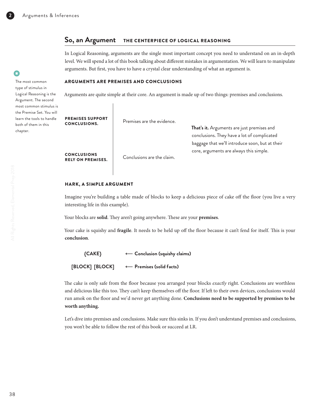## **So, an Argument** THE CENTERPIECE OF LOGICAL REASONING

In Logical Reasoning, arguments are the single most important concept you need to understand on an in-depth level. We will spend a lot of this book talking about different mistakes in argumentation. We will learn to manipulate arguments. But first, you have to have a crystal clear understanding of what an argument is. •

### ARGUMENTS ARE PREMISES AND CONCLUSIONS

Arguments are quite simple at their core. An argument is made up of two things: premises and conclusions.

PREMISES SUPPORT<br>CONCLUSIONS.

Premises are the evidence.

RELY ON PREMISES. Conclusions are the claim.

**That's it.** Arguments are just premises and conclusions. They have a lot of complicated baggage that we'll introduce soon, but at their core, arguments are always this simple. CONCLUSIONS

#### HARK, A SIMPLE ARGUMENT

Imagine you're building a table made of blocks to keep a delicious piece of cake off the floor (you live a very interesting life in this example).

Your blocks are **solid**. They aren't going anywhere. These are your **premises**.

Your cake is squishy and **fragile**. It needs to be held up off the floor because it can't fend for itself. This is your **conclusion**.

| ${CAKE}$        | $\leftarrow$ Conclusion (squishy claims) |  |  |
|-----------------|------------------------------------------|--|--|
| [BLOCK] [BLOCK] | $\leftarrow$ Premises (solid facts)      |  |  |

The cake is only safe from the floor because you arranged your blocks *exactly* right. Conclusions are worthless and delicious like this too. They can't keep themselves off the floor. If left to their own devices, conclusions would run amok on the floor and we'd never get anything done. **Conclusions need to be supported by premises to be worth anything.**

Let's dive into premises and conclusions. Make sure this sinks in. If you don't understand premises and conclusions, you won't be able to follow the rest of this book or succeed at LR.

•

chapter.

The most common type of stimulus in Logical Reasoning is the Argument. The second most common stimulus is the Premise Set. You will learn the tools to handle both of them in this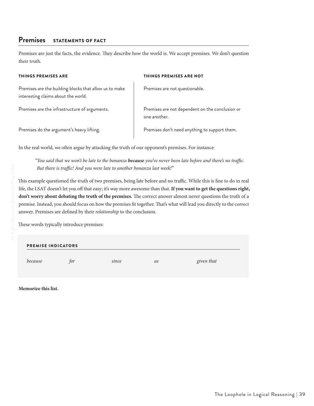# **Premises** STATEMENTS OF FACT

Premises are just the facts, the evidence. They describe how the world is. We accept premises. We don't question their truth.

| <b>THINGS PREMISES ARE</b>                                                                    | <b>THINGS PREMISES ARE NOT</b>                                  |
|-----------------------------------------------------------------------------------------------|-----------------------------------------------------------------|
| Premises are the building blocks that allow us to make<br>interesting claims about the world. | Premises are not questionable.                                  |
| Premises are the infrastructure of arguments.                                                 | Premises are not dependent on the conclusion or<br>one another. |
| Premises do the argument's heavy lifting.                                                     | Premises don't need anything to support them.                   |

In the real world, we often argue by attacking the truth of our opponent's premises. For instance:

*"You said that we won't be late to the bonanza because you've never been late before and there's no traffic. But there is traffic! And you were late to another bonanza last week!"*

This example questioned the truth of two premises, being late before and no traffic. While this is fine to do in real life, the LSAT doesn't let you off that easy; it's way more awesome than that. **If you want to get the questions right, don't worry about debating the truth of the premises.** The correct answer almost never questions the truth of a premise. Instead, you should focus on how the premises fit together. That's what will lead you directly to the correct answer. Premises are defined by their *relationship* to the conclusion.

These words typically introduce premises:

# PREMISE INDICATORS *because for since as given that*

**Memorize this list.**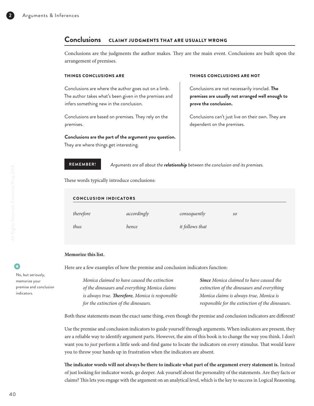## **Conclusions** CLAIMY JUDGMENTS THAT ARE USUALLY WRONG

Conclusions are the judgments the author makes. They are the main event. Conclusions are built upon the arrangement of premises.

Conclusions are where the author goes out on a limb. The author takes what's been given in the premises and infers something new in the conclusion.

Conclusions are based on premises. They rely on the premises.

**Conclusions are the part of the argument you question.**  They are where things get interesting.

**REMEMBER!** *Arguments are all about the relationship between the conclusion and its premises.*

These words typically introduce conclusions:

| <b>CONCLUSION INDICATORS</b> |             |                 |    |
|------------------------------|-------------|-----------------|----|
| therefore                    | accordingly | consequently    | so |
| thus                         | hence       | it follows that |    |

#### **Memorize this list.**

Here are a few examples of how the premise and conclusion indicators function:

| Monica claimed to have caused the extinction             | <b>Since</b> Monica claimed to have caused the   |
|----------------------------------------------------------|--------------------------------------------------|
| of the dinosaurs and everything Monica claims            | extinction of the dinosaurs and everything       |
| is always true. <b>Therefore</b> , Monica is responsible | Monica claims is always true, Monica is          |
| for the extinction of the dinosaurs.                     | responsible for the extinction of the dinosaurs. |

Both these statements mean the exact same thing, even though the premise and conclusion indicators are different!

Use the premise and conclusion indicators to guide yourself through arguments. When indicators are present, they are a reliable way to identify argument parts. However, the aim of this book is to change the way you think. I don't want you to *just* perform a little seek-and-find game to locate the indicators on every stimulus. That would leave you to throw your hands up in frustration when the indicators are absent.

**The indicator words will not always be there to indicate what part of the argument every statement is.** Instead of just looking for indicator words, go deeper. Ask yourself about the personality of the statements. Are they facts or claims? This lets you engage with the argument on an analytical level, which is the key to success in Logical Reasoning.

3 •

> No, but seriously, memorize your premise and conclusion indicators.

#### THINGS CONCLUSIONS ARE THINGS CONCLUSIONS ARE NOT

Conclusions are not necessarily ironclad. **The premises are usually not arranged well enough to prove the conclusion.**

Conclusions can't just live on their own. They are dependent on the premises.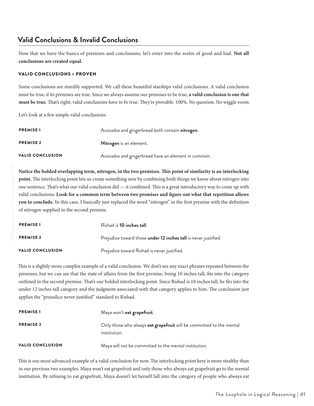# **Valid Conclusions & Invalid Conclusions**

Now that we have the basics of premises and conclusions, let's enter into the realm of good and bad. **Not all conclusions are created equal.**

## VALID CONCLUSIONS = PROVEN

Some conclusions are sturdily supported. We call these beautiful starships valid conclusions. A valid conclusion must be true, if its premises are true. Since we always assume our premises to be true, **a valid conclusion is one that must be true.** That's right; valid conclusions *have to be* true. They're provable. 100%. No question. No wiggle room.

Let's look at a few simple valid conclusions:

| <b>PREMISE1</b>         | Avocados and gingerbread both contain nitrogen.     |
|-------------------------|-----------------------------------------------------|
| <b>PREMISE 2</b>        | Nitrogen is an element.                             |
| <b>VALID CONCLUSION</b> | Avocados and gingerbread have an element in common. |

**Notice the bolded overlapping term, nitrogen, in the two premises. This point of similarity is an interlocking point.** The interlocking point lets us create something new by combining both things we know about nitrogen into one sentence. That's what our valid conclusion did — it combined. This is a great introductory way to come up with valid conclusions: **Look for a common term between two premises and figure out what that repetition allows you to conclude.** In this case, I basically just replaced the word "nitrogen" in the first premise with the definition of nitrogen supplied in the second premise.

| <b>PREMISE1</b>         | Rishad is <b>10 inches tall</b> .                               |
|-------------------------|-----------------------------------------------------------------|
| <b>PREMISE 2</b>        | Prejudice toward those under 12 inches tall is never justified. |
| <b>VALID CONCLUSION</b> | Prejudice toward Rishad is never justified.                     |

This is a slightly more complex example of a valid conclusion. We don't see any exact phrases repeated between the premises, but we can see that the state of affairs from the first premise, being 10 inches tall, fits into the category outlined in the second premise. That's our bolded interlocking point. Since Rishad is 10 inches tall, he fits into the under 12 inches tall category and the judgment associated with that category applies to him. The conclusion just applies the "prejudice never justified" standard to Rishad.

| <b>PREMISE1</b>         | Maya won't eat grapefruit.                                                           |
|-------------------------|--------------------------------------------------------------------------------------|
| <b>PREMISE 2</b>        | Only those who always eat grapefruit will be committed to the mental<br>institution. |
| <b>VALID CONCLUSION</b> | Maya will not be committed to the mental institution.                                |

This is our most advanced example of a valid conclusion for now. The interlocking point here is more stealthy than in our previous two examples. Maya won't eat grapefruit and only those who always eat grapefruit go to the mental institution. By refusing to eat grapefruit, Maya doesn't let herself fall into the category of people who always eat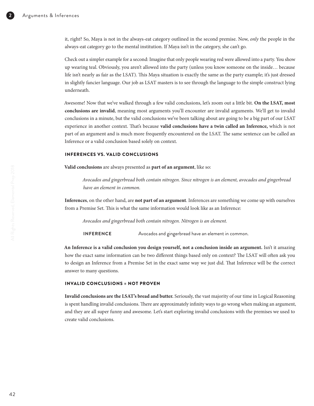it, right? So, Maya is not in the always-eat category outlined in the second premise. Now, *only* the people in the always-eat category go to the mental institution. If Maya isn't in the category, she can't go.

Check out a simpler example for a second: Imagine that only people wearing red were allowed into a party. You show up wearing teal. Obviously, you aren't allowed into the party (unless you know someone on the inside… because life isn't nearly as fair as the LSAT). This Maya situation is exactly the same as the party example; it's just dressed in slightly fancier language. Our job as LSAT masters is to see through the language to the simple construct lying underneath.

Awesome! Now that we've walked through a few valid conclusions, let's zoom out a little bit. **On the LSAT, most conclusions are invalid**, meaning most arguments you'll encounter are invalid arguments. We'll get to invalid conclusions in a minute, but the valid conclusions we've been talking about are going to be a big part of our LSAT experience in another context. That's because **valid conclusions have a twin called an Inference,** which is not part of an argument and is much more frequently encountered on the LSAT. The same sentence can be called an Inference or a valid conclusion based solely on context.

#### INFERENCES VS. VALID CONCLUSIONS

**Valid conclusions** are always presented as **part of an argument**, like so:

*Avocados and gingerbread both contain nitrogen. Since nitrogen is an element, avocados and gingerbread have an element in common.*

**Inferences**, on the other hand, are **not part of an argument**. Inferences are something we come up with ourselves from a Premise Set. This is what the same information would look like as an Inference:

*Avocados and gingerbread both contain nitrogen. Nitrogen is an element.*

**INFERENCE** Avocados and gingerbread have an element in common.

**An Inference is a valid conclusion you design yourself, not a conclusion inside an argument.** Isn't it amazing how the exact same information can be two different things based only on context? The LSAT will often ask you to design an Inference from a Premise Set in the exact same way we just did. That Inference will be the correct answer to many questions.

### INVALID CONCLUSIONS = NOT PROVEN

**Invalid conclusions are the LSAT's bread and butter.** Seriously, the vast majority of our time in Logical Reasoning is spent handling invalid conclusions. There are approximately infinity ways to go wrong when making an argument, and they are all super funny and awesome. Let's start exploring invalid conclusions with the premises we used to create valid conclusions.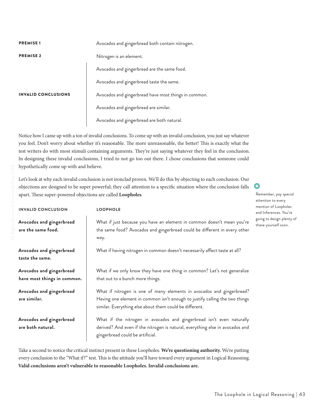| <b>PREMISE1</b>            | Avocados and gingerbread both contain nitrogen.      |
|----------------------------|------------------------------------------------------|
| <b>PREMISE 2</b>           | Nitrogen is an element.                              |
|                            | Avocados and gingerbread are the same food.          |
|                            | Avocados and gingerbread taste the same.             |
| <b>INVALID CONCLUSIONS</b> | Avocados and gingerbread have most things in common. |
|                            | Avocados and gingerbread are similar.                |
|                            | Avocados and gingerbread are both natural.           |

Notice how I came up with a ton of invalid conclusions. To come up with an invalid conclusion, you just say whatever you feel. Don't worry about whether it's reasonable. The more unreasonable, the better! This is exactly what the test writers do with most stimuli containing arguments. They're just saying whatever they feel in the conclusion. In designing these invalid conclusions, I tried to not go too out there. I chose conclusions that someone could hypothetically come up with and believe.

Let's look at why each invalid conclusion is not ironclad proven. We'll do this by objecting to each conclusion. Our objections are designed to be super powerful; they call attention to a specific situation where the conclusion falls apart. These super-powered objections are called **Loopholes**.

| <b>LOOPHOLE</b>                                                                                                                                                                                                 | mention of Loopholes<br>and Inferences. You're |
|-----------------------------------------------------------------------------------------------------------------------------------------------------------------------------------------------------------------|------------------------------------------------|
| What if just because you have an element in common doesn't mean you're<br>the same food? Avocados and gingerbread could be different in every other<br>way.                                                     | going to design plenty<br>these yourself soon. |
| What if having nitrogen in common doesn't necessarily affect taste at all?                                                                                                                                      |                                                |
| What if we only know they have one thing in common? Let's not generalize<br>that out to a bunch more things.                                                                                                    |                                                |
| What if nitrogen is one of many elements in avocados and gingerbread?<br>Having one element in common isn't enough to justify calling the two things<br>similar. Everything else about them could be different. |                                                |
| What if the nitrogen in avocados and gingerbread isn't even naturally<br>derived? And even if the nitrogen is natural, everything else in avocados and<br>gingerbread could be artificial.                      |                                                |
|                                                                                                                                                                                                                 |                                                |

Take a second to notice the critical instinct present in these Loopholes. **We're questioning authority.** We're putting every conclusion to the "What if?" test. This is the attitude you'll have toward every argument in Logical Reasoning. **Valid conclusions aren't vulnerable to reasonable Loopholes. Invalid conclusions are.**

•

8

Remember, pay special attention to every

 $of$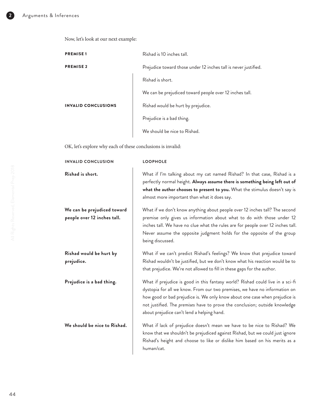Now, let's look at our next example:

| <b>PREMISE1</b>            | Rishad is 10 inches tall.                                       |
|----------------------------|-----------------------------------------------------------------|
| <b>PREMISE 2</b>           | Prejudice toward those under 12 inches tall is never justified. |
|                            | Rishad is short.                                                |
|                            | We can be prejudiced toward people over 12 inches tall.         |
| <b>INVALID CONCLUSIONS</b> | Rishad would be hurt by prejudice.                              |
|                            | Prejudice is a bad thing.                                       |
|                            | We should be nice to Rishad.                                    |

OK, let's explore why each of these conclusions is invalid:

| <b>INVALID CONCLUSION</b>                                  | <b>LOOPHOLE</b>                                                                                                                                                                                                                                                                                                                                                          |
|------------------------------------------------------------|--------------------------------------------------------------------------------------------------------------------------------------------------------------------------------------------------------------------------------------------------------------------------------------------------------------------------------------------------------------------------|
| Rishad is short.                                           | What if I'm talking about my cat named Rishad? In that case, Rishad is a<br>perfectly normal height. Always assume there is something being left out of<br>what the author chooses to present to you. What the stimulus doesn't say is<br>almost more important than what it does say.                                                                                   |
| We can be prejudiced toward<br>people over 12 inches tall. | What if we don't know anything about people over 12 inches tall? The second<br>premise only gives us information about what to do with those under 12<br>inches tall. We have no clue what the rules are for people over 12 inches tall.<br>Never assume the opposite judgment holds for the opposite of the group<br>being discussed.                                   |
| Rishad would be hurt by<br>prejudice.                      | What if we can't predict Rishad's feelings? We know that prejudice toward<br>Rishad wouldn't be justified, but we don't know what his reaction would be to<br>that prejudice. We're not allowed to fill in these gaps for the author.                                                                                                                                    |
| Prejudice is a bad thing.                                  | What if prejudice is good in this fantasy world? Rishad could live in a sci-fi<br>dystopia for all we know. From our two premises, we have no information on<br>how good or bad prejudice is. We only know about one case when prejudice is<br>not justified. The premises have to prove the conclusion; outside knowledge<br>about prejudice can't lend a helping hand. |
| We should be nice to Rishad.                               | What if lack of prejudice doesn't mean we have to be nice to Rishad? We<br>know that we shouldn't be prejudiced against Rishad, but we could just ignore<br>Rishad's height and choose to like or dislike him based on his merits as a<br>human/cat.                                                                                                                     |